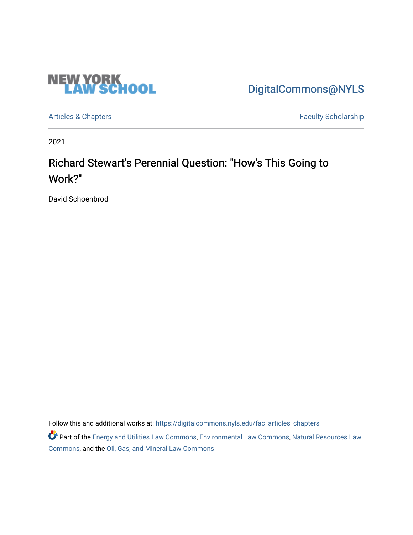

[DigitalCommons@NYLS](https://digitalcommons.nyls.edu/) 

[Articles & Chapters](https://digitalcommons.nyls.edu/fac_articles_chapters) **Faculty Scholarship** 

2021

# Richard Stewart's Perennial Question: "How's This Going to Work?"

David Schoenbrod

Follow this and additional works at: [https://digitalcommons.nyls.edu/fac\\_articles\\_chapters](https://digitalcommons.nyls.edu/fac_articles_chapters?utm_source=digitalcommons.nyls.edu%2Ffac_articles_chapters%2F1443&utm_medium=PDF&utm_campaign=PDFCoverPages) 

Part of the [Energy and Utilities Law Commons,](http://network.bepress.com/hgg/discipline/891?utm_source=digitalcommons.nyls.edu%2Ffac_articles_chapters%2F1443&utm_medium=PDF&utm_campaign=PDFCoverPages) [Environmental Law Commons](http://network.bepress.com/hgg/discipline/599?utm_source=digitalcommons.nyls.edu%2Ffac_articles_chapters%2F1443&utm_medium=PDF&utm_campaign=PDFCoverPages), Natural Resources Law [Commons](http://network.bepress.com/hgg/discipline/863?utm_source=digitalcommons.nyls.edu%2Ffac_articles_chapters%2F1443&utm_medium=PDF&utm_campaign=PDFCoverPages), and the [Oil, Gas, and Mineral Law Commons](http://network.bepress.com/hgg/discipline/864?utm_source=digitalcommons.nyls.edu%2Ffac_articles_chapters%2F1443&utm_medium=PDF&utm_campaign=PDFCoverPages)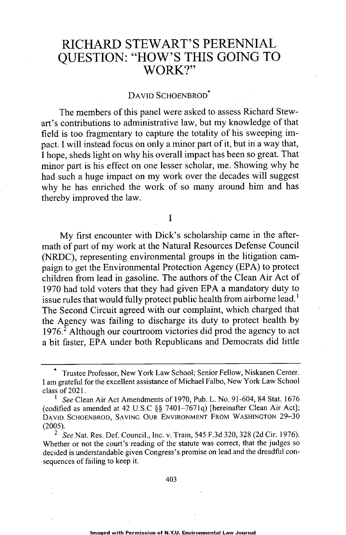## RICHARD STEWART'S PERENNIAL QUESTION: "HOW'S THIS GOING TO WORK?"

### DAVID SCHOENBROD\*

The members of this panel were asked to assess Richard Stewart's contributions to administrative law, but my knowledge of that field is too fragmentary to capture the totality of his sweeping impact. I will instead focus on only a minor part of it, but in a way that, I hope, sheds light on why his overall impact has been so great. That minor part is his effect on one lesser scholar, me. Showing why he had such a huge impact on my work over the decades will suggest why he has enriched the work of so many around him and has thereby improved the law.

I

My first encounter with Dick's scholarship came in the aftermath of part of my work at the Natural Resources Defense Council (NRDC), representing environmental groups in the litigation campaign to get the Environmental Protection Agency (EPA) to protect children from lead in gasoline. The authors of the Clean Air Act of 1970 had told voters that they had given EPA a mandatory duty to issue rules that would fully protect public health from airborne lead.' The Second Circuit agreed with our complaint, which charged that the Agency was failing to discharge its duty to protect health by 1976.<sup>2</sup> Although our courtroom victories did prod the agency to act a bit faster, EPA under both Republicans and Democrats did little

<sup>\*</sup> Trustee Professor, New York Law School; Senior Fellow, Niskanen Center. I am grateful for the excellent assistance of Michael Falbo, New York Law School class of 2021.

See Clean Air Act Amendments of 1970, Pub. L. No. 91-604, 84 Stat. 1676 (codified as amended at 42 U.S.C §§ 7401-7671q) [hereinafter Clean Air Act]; DAVID SCHOENBROD, SAVING OUR ENVIRONMENT FROM WASHINGTON 29-30 (2005).

*<sup>2</sup> See* Nat. Res. Def. Council., Inc. v. Train, 545 F.3d 320, 328 (2d Cir. 1976). Whether or not the court's reading of the statute was correct, that the judges so decided is understandable given Congress's promise on lead and the dreadful consequences of failing to keep it.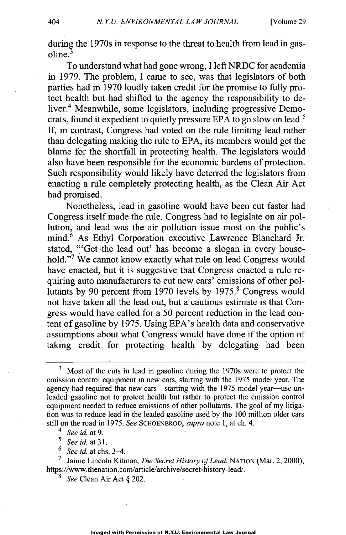during the 1970s in response to the threat to health from lead in gasoline.

To understand what had gone wrong, I left NRDC for academia in 1979. The problem, I came to see, was that legislators of both parties had in 1970 loudly taken credit for the promise to fully protect health but had shifted to the agency the responsibility to deliver.<sup>4</sup> Meanwhile, some legislators, including progressive Democrats, found it expedient to quietly pressure EPA to go slow on lead.<sup>5</sup> If, in contrast, Congress had voted on the rule limiting lead rather than delegating making the rule to EPA, its members would get the blame for the shortfall in protecting health. The legislators would also have been responsible for the economic burdens of protection. Such responsibility would likely have deterred the legislators from enacting a rule completely protecting health, as the Clean Air Act had promised.

Nonetheless, lead in gasoline would have been cut faster had Congress itself made the rule. Congress had to legislate on air pollution, and lead was the air pollution issue most on the public's mind.<sup>6</sup> As Ethyl Corporation executive Lawrence Blanchard Jr. stated, "'Get the lead out' has become a slogan in every household."<sup>7</sup> We cannot know exactly what rule on lead Congress would have enacted, but it is suggestive that Congress enacted a rule requiring auto manufacturers to cut new cars' emissions of other pollutants by 90 percent from 1970 levels by 1975.<sup>8</sup> Congress would not have taken all the lead out, but a cautious estimate is that Congress would have called for a 50 percent reduction in the lead content of gasoline by 1975. Using EPA's health data and conservative assumptions about what Congress would have done if the option of taking credit for protecting health by delegating had been

*4 See id.* at 9.

*' See id. at* 31.

 $\frac{6}{7}$  *See id.* at chs. 3–4.

7 Jaime Lincoln Kitman, *The Secret History of Lead,* NATION (Mar. 2, 2000), https://www.thenation.com/article/archive/secret-history-lead/.

*8 See* Clean Air Act § 202.

<sup>&</sup>lt;sup>3</sup> Most of the cuts in lead in gasoline during the 1970s were to protect the emission control equipment in new cars, starting with the 1975 model year. The agency had required that new cars—starting with the 1975 model year—use unleaded gasoline not to protect health but rather to protect the emission control equipment needed to reduce emissions of other pollutants. The goal of my litigation was to reduce lead in the leaded gasoline used by the 100 million older cars still on the road in 1975. *See* SCHOENBROD, *supra* note 1, at ch. 4.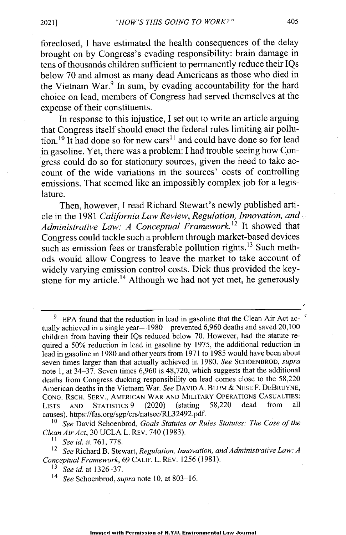foreclosed, I have estimated the health consequences of the delay brought on by Congress's evading responsibility: brain damage in tens of thousands children sufficient to permanently reduce their IQs below 70 and almost as many dead Americans as those who died in the Vietnam War.<sup>9</sup> In sum, by evading accountability for the hard choice on lead, members of Congress had served themselves at the expense of their constituents.

In response to this injustice, I set out to write an article arguing that Congress itself should enact the federal rules limiting air pollution.<sup>10</sup> It had done so for new cars<sup>11</sup> and could have done so for lead in gasoline. Yet, there was a problem: I had trouble seeing how Congress could do so for stationary sources, given the need to take account of the wide variations in the sources' costs of controlling emissions. That seemed like an impossibly complex job for a legislature.

Then, however, I read Richard Stewart's newly published article in the 1981 *California Law Review, Regulation, Innovation, and Administrative Law: A Conceptual Framework.'<sup>2</sup>*It showed that Congress could tackle such a problem through market-based devices such as emission fees or transferable pollution rights.<sup>13</sup> Such methods would allow Congress to leave the market to take account of widely varying emission control costs. Dick thus provided the keystone for my article.<sup>14</sup> Although we had not yet met, he generously

<sup>10</sup>*See* David Schoenbrod, *Goals Statutes or Rules Statutes: The Case of the Clean Air Act,* 30 UCLA L. REV. 740 (1983).

*' See id.* at 761, 778.

<sup>12</sup>*See* Richard B. Stewart, *Regulation, Innovation, and Administrative Law: A Conceptual Framework,* 69 CALIF. L. REv. 1256 (1981).

'3 *See id. at 1326-37.*

<sup>14</sup>*See* Schoenbrod, *supra* note 10, at 803-16.

EPA found that the reduction in lead in gasoline that the Clean Air Act actually achieved in a single year—1980—prevented 6,960 deaths and saved 20,100 children from having their IQs reduced below 70. However, had the statute required a *50%* reduction in lead in gasoline by 1975, the additional reduction in lead in gasoline in 1980 and other years from 1971 to 1985 would have been about seven times larger than that actually achieved in 1980. *See* SCHOENBROD, *supra* note 1, at 34-37. Seven times 6,960 is 48,720, which suggests that the additional deaths from Congress ducking responsibility on lead comes close to the 58,220 American deaths in the Vietnam War. *See* DAVID A. BLUM *&* NESE F. DEBRUYNE, CONG. RSCH. SERV., AMERICAN WAR AND MILITARY OPERATIONS CASUALTIES:<br>LISTS AND STATISTICS 9 (2020) (stating 58.220 dead from all LISTS AND STATISTICS  $9$  (2020) (stating 58,220 dead causes), https://fas.org/sgp/crs/natsec/RL32492.pdf.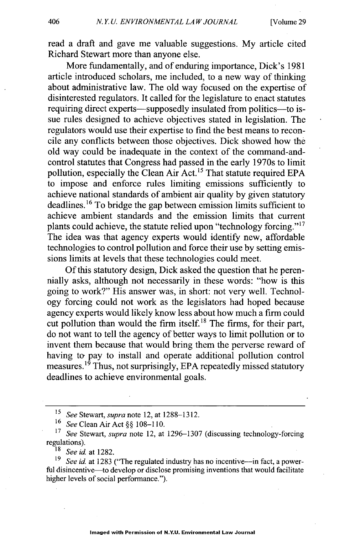read a draft and gave me valuable suggestions. My article cited Richard Stewart more than anyone else.

More fundamentally, and of enduring importance, Dick's 1981 article introduced scholars, me included, to a new way of thinking about administrative law. The old way focused on the expertise of disinterested regulators. It called for the legislature to enact statutes requiring direct experts—supposedly insulated from politics—to issue rules designed to achieve objectives stated in legislation. The regulators would use their expertise to fmd the best means to reconcile any conflicts between those objectives. Dick showed how the old way could be inadequate in the context of the command-andcontrol statutes that Congress had passed in the early 1970s to limit pollution, especially the Clean Air Act.<sup>15</sup> That statute required EPA to impose and enforce rules limiting emissions sufficiently to achieve national standards of ambient air quality by given statutory deadlines.16 To bridge the gap between emission limits sufficient to achieve ambient standards and the emission limits that current plants could achieve, the statute relied upon "technology forcing."17 The idea was that agency experts would identify new, affordable technologies to control pollution and force their use by setting emissions limits at levels that these technologies could meet.

Of this statutory design, Dick asked the question that he perennially asks, although not necessarily in these words: "how is this going to work?" His answer was, in short: not very well. Technology forcing could not work as the legislators had hoped because agency experts would likely know less about how much a firm could cut pollution than would the firm itself.<sup>18</sup> The firms, for their part, do not want to tell the agency of better ways to limit pollution or to invent them because that would bring them the perverse reward of having to pay to install and operate additional pollution control measures.<sup>19</sup> Thus, not surprisingly, EPA repeatedly missed statutory deadlines to achieve environmental goals.

<sup>15</sup>*See* Stewart, *supra* note 12, at 1288-1312.

<sup>16</sup>*See* Clean Air Act §§ 108-110.

*<sup>17</sup>See* Stewart, *supra* note 12, at 1296-1307 (discussing technology-forcing regulations).

<sup>18</sup>*See id* at 1282.

<sup>&</sup>lt;sup>19</sup> *See id.* at 1283 ("The regulated industry has no incentive—in fact, a powerful disincentive—to develop or disclose promising inventions that would facilitate higher levels of social performance.").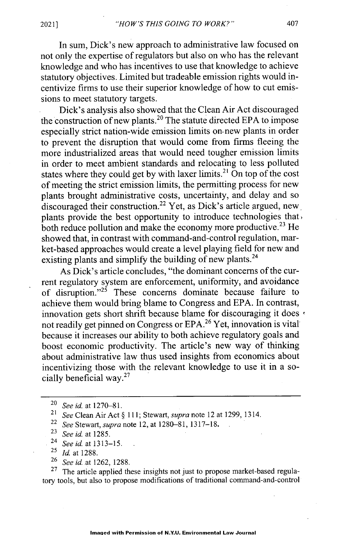In sum, Dick's new approach to administrative law focused on not only the expertise of regulators but also on who has the relevant knowledge and who has incentives to use that knowledge to achieve statutory objectives. Limited but tradeable emission rights would incentivize firms to use their superior knowledge of how to cut emissions to meet statutory targets.

Dick's analysis also showed that the Clean Air Act discouraged the construction of new plants.<sup>20</sup> The statute directed EPA to impose especially strict nation-wide emission limits on- new plants in order to prevent the disruption that would come from firms fleeing the more industrialized areas that would need tougher emission limits in order to meet ambient standards and relocating to less polluted states where they could get by with laxer limits.<sup>21</sup> On top of the cost of meeting the strict emission limits, the permitting process for new plants brought administrative costs, uncertainty, and delay and so  $\frac{d}{dx}$  discouraged their construction.<sup>22</sup> Yet, as Dick's article argued, new, plants provide the best opportunity to introduce technologies that, both reduce pollution and make the economy more productive.<sup>23</sup> He showed that, in contrast with command-and-control regulation, market-based approaches would create a level playing field for new and existing plants and simplify the building of new plants.<sup>24</sup>

As Dick's article concludes, "the dominant concerns of the current regulatory system are enforcement, uniformity, and avoidance of disruption." $2^5$  These concerns dominate because failure to achieve them would bring blame to Congress and EPA. In contrast, innovation gets short shrift because blame for discouraging it does  $\cdot$ not readily get pinned on Congress or EPA.<sup>26</sup> Yet, innovation is vital because it increases our ability to both achieve regulatory goals and boost economic productivity. The article's new way of thinking about administrative law thus used insights from economics about incentivizing those with the relevant knowledge to use it in a socially beneficial way.<sup>27</sup>

<sup>26</sup>*See id .at* 1262, 1288.

 $27$  The article applied these insights not just to propose market-based regulatory tools, but also to propose modifications of traditional command-and-control

*<sup>20</sup>See id at* 1270-81.

<sup>21</sup>*See* Clean Air Act § 111; *Stewart, supra note* 12 at 1299, 1314.

<sup>22</sup>*See* Stewart, *supra* note 12, at 1280-81, 1317-18.

*<sup>23</sup>See id.* at 1285.

*<sup>24</sup> See id* at 1313-15.

<sup>25</sup>*Id at* 1288.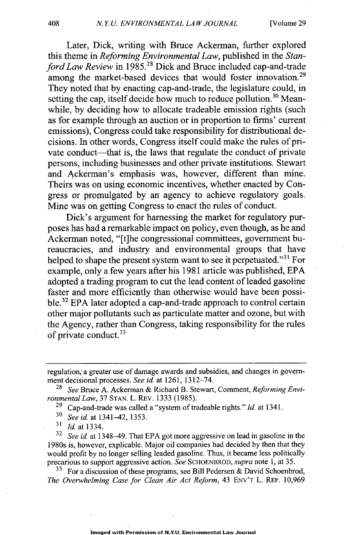Later, Dick, writing with Bruce Ackerman, further explored this theme in *Reforming Environmental Law,* published in the *Stanford Law Review* in 1985.<sup>28</sup> Dick and Bruce included cap-and-trade among the market-based devices that would foster innovation.<sup>29</sup> They noted that by enacting cap-and-trade, the legislature could, in setting the cap, itself decide how much to reduce pollution.<sup>30</sup> Meanwhile, by deciding how to allocate tradeable emission rights (such as for example through an auction or in proportion to firms' current emissions), Congress could take responsibility for distributional decisions. In other words, Congress itself could make the rules of private conduct—that is, the laws that regulate the conduct of private persons, including businesses and other private institutions. Stewart and Ackerman's emphasis was, however, different than mine. Theirs was on using economic incentives, whether enacted by Congress or promulgated by an agency to achieve regulatory goals. Mine was on getting Congress to enact the rules of conduct.

Dick's argument for harnessing the market for regulatory purposes has had a remarkable impact on policy, even though, as he and Ackerman noted, "[t]he congressional committees, government bureaucracies, and industry and environmental groups that have helped to shape the present system want to see it perpetuated."<sup>31</sup> For example, only a few years after his 1981 article was published, EPA adopted a trading program to cut the lead content of leaded gasoline faster and more efficiently than otherwise would have been possible.<sup>32</sup> EPA later adopted a cap-and-trade approach to control certain other major pollutants such as particulate matter and ozone, but with the Agency, rather than Congress, taking responsibility for the rules of private conduct.<sup>33</sup>

29 Cap-and-trade was called a "system of tradeable rights." *Id.* at 1341.

 $\frac{31}{32}$  *Id.* at 1334.

*<sup>32</sup>See id.* at 1348-49. That EPA got more aggressive on lead in gasoline in the 1980s is, however, explicable. Major oil companies had decided by then that they would profit by no longer selling leaded gasoline. Thus, it became less politically precarious to support aggressive action. *See* SCHOENBROD, *supra* note 1, at 35.

 $33$  For a discussion of these programs, see Bill Pedersen & David Schoenbrod, *The Overwhelming Case for Clean Air Act Reform, 43* ENv'T L. REP. 10,969

regulation; a greater use of damage awards and subsidies, and changes in government decisional processes. *See id.* at 1261, 1312-74.<br><sup>28</sup> See Bruce A. Ackerman & Richard B. Stewart

*<sup>28</sup> See* Bruce A. Ackerman & Richard B. Stewart, Comment, *Reforming Environmental Law,* 37 STAN. L. REv. 1333 (1985).

**<sup>30</sup>***See id.* at 1341-42, 1353.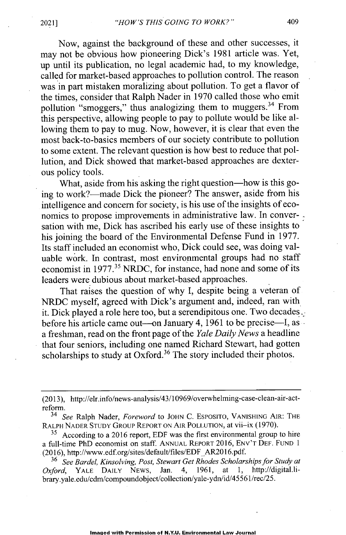Now, against the background of these and other successes, it may not be obvious how pioneering Dick's 1981 article was. Yet, up until its publication, no legal academic had, to my knowledge, called for market-based approaches to pollution control. The reason was in part mistaken moralizing about pollution. To get a flavor of the times, consider that Ralph Nader in 1970 called those who emit pollution "smoggers," thus analogizing them to muggers.<sup>34</sup> From this perspective, allowing people to pay to pollute would be like allowing them to pay to mug. Now, however, it is clear that even the most back-to-basics members of our society contribute to pollution to some extent. The relevant question is how best to reduce that pollution, and Dick showed that market-based approaches are dexterous policy tools.

What, aside from his asking the right question—how is this going to work?—made Dick the pioneer? The answer, aside from his intelligence and concern for society, is his use of the insights of economics to propose improvements in administrative law. In conversation with me, Dick has ascribed his early use of these insights to his joining the board of the Environmental Defense Fund in 1977. Its staff included an economist who, Dick could see, was doing valuable work. In contrast, most environmental groups had no staff economist in 1977.<sup>35</sup> NRDC, for instance, had none and some of its leaders were dubious about market-based approaches.

That raises the question of why I, despite being a veteran of NRDC myself, agreed with Dick's argument and, indeed, ran with it. Dick played a role here too, but a serendipitous one. Two decades. before his article came out—on January 4,  $1961$  to be precise—I, as a freshman, read on the front page of the *Yale Daily News* a headline that four seniors, including one named Richard Stewart, had gotten scholarships to study at  $Ox$  ford.<sup>36</sup> The story included their photos.

(2013), http://elr.info/news-analysis/43/10969/overwhelming-case-clean-air-actreform.

<sup>34</sup>*See* Ralph Nader, *Foreword* to JOHN C. ESPOSITO, VANISHING AIR: THE RALPH NADER STUDY GROUP REPORT ON AIR POLLUTION, at vii-ix (1970).

 $35$  According to a 2016 report, EDF was the first environmental group to hire a full-time PhD economist on staff. ANNUAL REPORT 2016, ENV'T DEF. FUND 1 (2016), http://www.edf.org/sites/default/files/EDF AR2016.pdf.

<sup>36</sup>*See Bardel, Kinsolving, Post, Stewart Get Rhodes Scholarships for Study at Oxford,* YALE DAILY NEWS, Jan. 4, 1961, at 1, http://digital.library.yale.edu/cdm/compoundobject/collection/yale-ydn/id/45561/rec/25.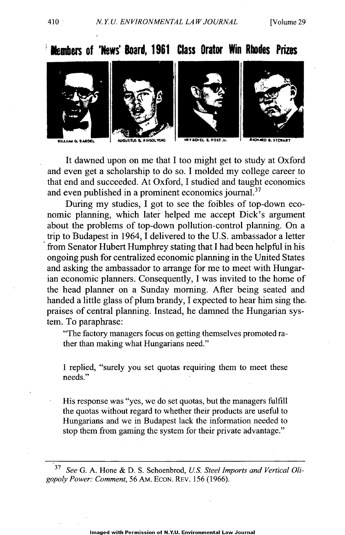









*tMlWA* **61 SAMEL** : **G4JS 4h eNIW.LV15 -4O4i EL POIT Jr. "ARD L STIVAE**

It dawned upon on me that I too might get to study at Oxford and even get a scholarship to do so. I molded my college career to that end and succeeded. At Oxford, I studied and taught economics and even published in a prominent economics journal.<sup>37</sup>

During my studies, I got to see the foibles of top-down economic planning, which later helped me accept Dick's argument about the problems of top-down pollution-control planning. On a trip to Budapest in 1964, I delivered to the U.S. ambassador a letter from Senator Hubert Humphrey stating that I had been helpful in his ongoing push for centralized economic planning in the United States and asking the ambassador to arrange for me to meet with Hungarian economic planners. Consequently, I was invited to the home of the head planner on a Sunday morning. After being seated and handed a little glass of plum brandy, I expected to hear him sing thepraises of central planning. Instead, he damned the Hungarian system. To paraphrase:

"The factory managers focus on getting themselves promoted rather than making what Hungarians need."

I replied, "surely you set quotas requiring them to meet these needs."

His response was "yes, we do set quotas, but the managers fulfill the quotas without regard to whether their products are useful to Hungarians and we in Budapest lack the information needed to stop them from gaming the system for their private advantage."

*37 See G. A.* Hone *&* D. *S.* Schoenbrod, *U.S. Steel Imports and Vertical Oligopoly Power: Comment, 56* AM. ECON. REv. *156* (1966).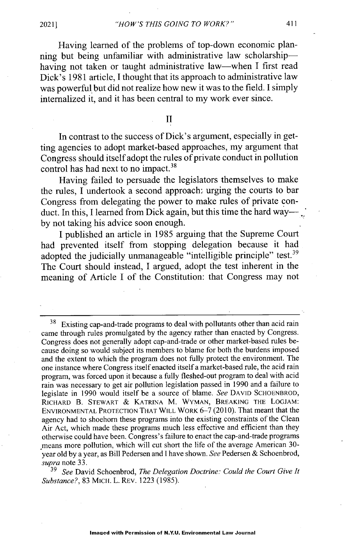Having learned of the problems of top-down economic planning but being unfamiliar with administrative law scholarshiphaving not taken or taught administrative law-when I first read Dick's 1981 article, I thought that its approach to administrative law was powerful but did not realize how new it was to the field. I simply internalized it, and it has been central to my work ever since.

II

In contrast to the success of Dick's argument, especially in getting agencies to adopt market-based approaches, my argument that Congress should itself adopt the rules of private conduct in pollution control has had next to no impact.<sup>38</sup>

Having failed to persuade the legislators themselves to make the rules, I undertook a second approach: urging the courts to bar Congress from delegating the power to make rules of private conduct. In this, I learned from Dick again, but this time the hard wayby not taking his advice soon enough.

I published an article in 1985 arguing that the Supreme Court had prevented itself from stopping delegation because it had adopted the judicially unmanageable "intelligible principle" test.<sup>39</sup> The Court should instead, I argued, adopt the test inherent in the meaning of Article I of the Constitution: that Congress may not

<sup>39</sup>*See* David Schoenbrod, *The Delegation Doctrine: Could the Court Give It Substance?,* 83 MICH. L. REV. 1223 (1985).

<sup>&</sup>lt;sup>38</sup> Existing cap-and-trade programs to deal with pollutants other than acid rain came through rules promulgated by the agency rather than enacted by Congress. Congress does not generally adopt cap-and-trade or other market-based rules because doing so would subject its members to blame for both the burdens imposed and the extent to which the program does not fully protect the environment. The one instance where Congress itself enacted itself a market-based rule, the acid rain program, was forced upon it because a fully fleshed-out program to deal with acid rain was necessary to get air pollution legislation passed in 1990 and a failure to legislate in 1990 would itself be a source of blame. *See* **DAVID** SCHOENBROD, **RICHARD** B. STEWART *&* KATRINA M. WYMAN, BREAKING THE LOGJAM: ENVIRONMENTAL PROTECTION THAT WILL WORK *6-7* (2010). That meant that the agency had to shoehorn these programs into the existing constraints of the Clean Air Act, which made these programs much less effective and efficient than they otherwise could have been. Congress's failure to enact the cap-and-trade programs means more pollution, which will cut short the life of the average American 30year old by a year, as Bill Pedersen and I have shown. *See* Pedersen & Schoenbrod, *supra* note 33.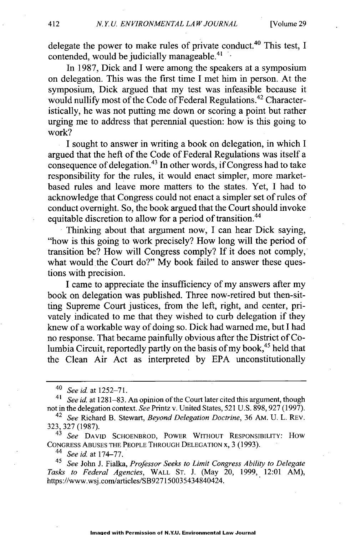**delegate the power to make rules of private conduct.40 This test, I contended, would be judicially manageable. <sup>4</sup><sup>1</sup>**

**In 1987, Dick and I were among the speakers at a symposium on delegation. This was the first time I met him in person. At the symposium, Dick argued that my test was infeasible because it** would nullify most of the Code of Federal Regulations.<sup>42</sup> Character**istically, he was not putting me down or scoring a point but rather urging me to address that perennial question: how is this going to work?**

**I sought to answer in writing a book on delegation, in which I argued that the heft of the Code of Federal Regulations was itself a consequence of delegation. <sup>43</sup>In other words, if Congress had to take responsibility for the rules, it would enact simpler, more marketbased rules and leave more matters to the states. Yet, I had to acknowledge that Congress could not enact a simpler set of rules of conduct overnight. So, the book argued that the Court should invoke equitable discretion to allow for a period of transition."**

**Thinking about that argument now, I can hear Dick saying, "how is this going to work precisely? How long will the period of transition be? How will Congress comply? If it does not comply,** what would the Court do?" My book failed to answer these ques**tions with precision.**

**I came to appreciate the insufficiency of my answers after my book on delegation was published. Three now-retired but then-sitting Supreme Court justices, from the left, right, and center, privately indicated to me that they wished to curb delegation if they knew of a workable way of doing so. Dick had warned me, but I had no response. That became painfully obvious after the District of Columbia Circuit, reportedly partly on the basis of my book, <sup>45</sup>held that the Clean Air Act as interpreted by EPA unconstitutionally**

**<sup>4</sup>***See id.* **at** 174-77.

**45** *See* **John J. Fialka,** *Professor Seeks to Limit Congress Ability to Delegate Tasks to Federal Agencies,* WALL ST. **J. (May 20, 1999, 12:01 AM),** https://www.wsj.com/articles/SB927150035434840424.

*<sup>40</sup> See id at* **1252-71.**

*<sup>41</sup>See id. at* **1281-83. An opinion of the Court later cited this argument, though not in the delegation context.** *See* **Printz v. United States, 521 U.S. 898, 927 (1997).**

**<sup>42</sup>***See* **Richard B. Stewart,** *Beyond Delegation Doctrine,* 36 AM. U. L. REV. 323, 327 **(1987).**

*<sup>43</sup> See* **DAVID SCHOENBROD, POWER** WITHOUT **RESPONSIBILITY: How CONGRESS ABUSES THE PEOPLE THROUGH DELEGATION x, 3 (1993).**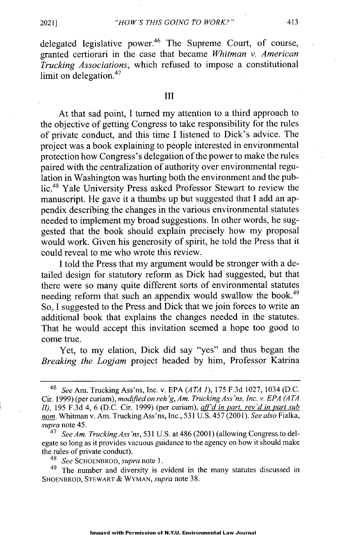delegated legislative power.<sup>46</sup> The Supreme Court, of course, granted certiorari in the case that became *Whitman v. American Trucking Associations,* which refused to impose a constitutional limit on delegation.<sup>47</sup>

#### III

At that sad point, I turned my attention to a third approach to the objective of getting Congress to take responsibility for the rules of private conduct, and this time I listened to Dick's advice. The project was a book explaining to people interested in environmental protection how Congress's delegation of the power to make the rules paired with the centralization of authority over environmental regulation in Washington was hurting both the environment and the public.<sup>48</sup> Yale University Press asked Professor Stewart to review the manuscript. He gave it a thumbs up but suggested that I add an appendix describing the changes in the various environmental statutes needed to implement my broad suggestions. In other words, he suggested that the book should explain precisely how my proposal would work. Given his generosity of spirit, he told the Press that it could reveal to me who wrote this review.

I told the Press that my argument would be stronger with a detailed design for statutory reform as Dick had suggested, but that there were so many quite different sorts of environmental statutes needing reform that such an appendix would swallow the book.<sup>49</sup> So, I suggested to the Press and Dick that we join forces to write an additional book that explains the changes needed in the statutes. That he would accept this invitation seemed a hope too good to come true.

Yet, to my elation, Dick did say "yes" and thus began the *Breaking the Logjam* project headed by him, Professor Katrina

<sup>46</sup>*See* Am. Trucking Ass'ns, Inc. v. EPA *(A TA 1), 175* F.3d 1027, 1034 (D.C. Cir. 1999) (per curiam), *modified on reh'g, Am. Trucking Ass'ns, Inc. v. EPA (A TA II),* 195 F.3d 4, 6 (D.C. Cir. 1999) (per curiam), *aff'd in part, rev'd in part sub nom.* Whitman v. Am. Trucking Ass'ns, Inc., 531 U.S. 457 (2001). *See also* Fialka, *supra* note 45.

*<sup>47</sup> See Am. Trucking Ass 'ns,* 531 U.S. at 486 (2001) (allowing Congress to delegate so long as it provides vacuous guidance to the agency on how it should make the rules of private conduct).

*<sup>48</sup> See* SCHOENBROD, *supra* note 1.

<sup>&</sup>lt;sup>49</sup> The number and diversity is evident in the many statutes discussed in SHOENBROD, STEWART *&* WYMAN, *supra* note 38.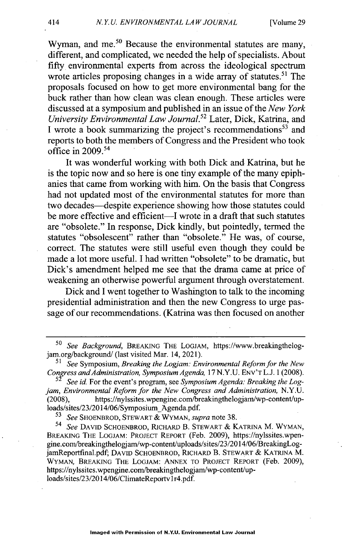Wyman, and me. $50$  Because the environmental statutes are many, different, and complicated, we needed the help of specialists. About fifty environmental experts from across the ideological spectrum wrote articles proposing changes in a wide array of statutes.<sup>51</sup> The proposals focused on how to get more environmental bang for the buck rather than how clean was clean enough. These articles were discussed at a symposium and published in an issue of the *New York University Environmental Law Journal.*<sup>52</sup> Later, Dick, Katrina, and I wrote a book summarizing the project's recommendations<sup>53</sup> and reports to both the members of Congress and the President who took office in  $2009<sup>54</sup>$ 

It was wonderful working with both Dick and Katrina, but he is the topic now and so here is one tiny example of the many epiphanies that came from working with him. On the basis that Congress had not updated most of the environmental statutes for more than two decades-despite experience showing how those statutes could be more effective and efficient—I wrote in a draft that such statutes are "obsolete." In response, Dick kindly, but pointedly, termed the statutes "obsolescent" rather than "obsolete." He was, of course, correct. The statutes were still useful even though they could be made a lot more useful. I had written "obsolete" to be dramatic, but Dick's amendment helped me see that the drama came at price of weakening an otherwise powerful argument through overstatement.

Dick and I went together to Washington to talk to the incoming presidential administration and then the new Congress to urge passage of our recommendations. (Katrina was then focused on another

<sup>50</sup> *See Background,* BREAKING THE LOGJAM, https://www.breakingthelogjam.org/background/ (last visited Mar. 14, 2021).

<sup>51</sup>*See* Symposium, *Breaking the Logjam: Environmental Reform for the New Conyess andAdministration, Symposium Agenda,* 17 N.Y.U. ENV'T L.J. 1(2008).

<sup>&</sup>lt;sup>52</sup> See id. For the event's program, see *Symposium Agenda: Breaking the Logjam, Environmental Reform for the New Congress and Administration,* N.Y.U. (2008), https://nylssites.wpengine.com/breakingthelogjam/wp-content/uploads/sites/23/2014/06/Symposium Agenda.pdf.<br> $53$  See SUOFNIPPOD STEWART & WOMAN, SH

<sup>5</sup>*See* SHOENBROD, STEWART *&* WYMAN, *supra* note 38.

<sup>54</sup>*See* DAVID SCHOENBROD, RICHARD B. STEWART *&* KATRINA M. WYMAN, BREAKING THE LOGJAM: PROJECT REPORT (Feb. 2009), https://nylssites.wpengine.com/breakingthelogjam/wp-content/uploads/sites/23/2014/06/BreakingLogjamReportfmal.pdf, DAVID SCHOENBROD, RICHARD B. STEWART *&* KATRINA M. WYMAN, BREAKING THE LOGJAM: ANNEX TO PROJECT REPORT (Feb. 2009), https://nylssites.wpengine.com/breakingthelogjam/wp-content/uploads/sites/23/2014/06/ClimateReportvlr4.pdf.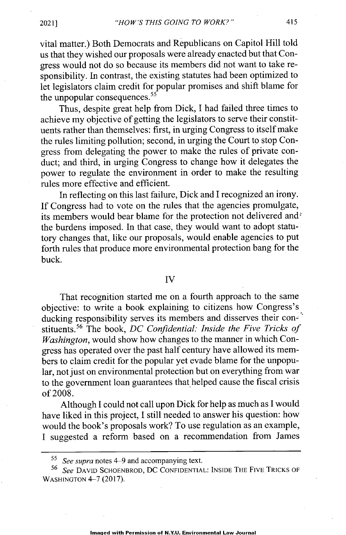vital matter.) Both Democrats and Republicans on Capitol Hill told us that they wished our proposals were already enacted but that Congress would not do so because its members did not want to take responsibility. In contrast, the existing statutes had been optimized to let legislators claim credit for popular promises and shift blame for the unpopular consequences. $55$ 

Thus, despite great help from Dick, I had failed three times to achieve my objective of getting the legislators to serve their constituents rather than themselves: first, in urging Congress to itself make the rules limiting pollution; second, in urging the Court to stop Congress from delegating the power to make the rules of private conduct; and third, in urging Congress to change how it delegates the power to regulate the environment in order to make the resulting rules more effective and efficient.

In reflecting on this last failure, Dick and I recognized an irony. If Congress had to vote on the rules that the agencies promulgate, its members would bear blame for the protection not delivered and<sup>2</sup> the burdens imposed. In that case, they would want to adopt statutory changes that, like our proposals, would enable agencies to put forth rules that produce more environmental protection bang for the buck.

#### IV

That recognition started me on a fourth approach to the same objective: to write a book explaining to citizens how Congress's ducking responsibility serves its members and disserves their constituents.<sup>56</sup> The book, *DC Confidential: Inside the Five Tricks of Washington,* would show how changes to the manner in which Congress has operated over the past half century have allowed its members to claim credit for the popular yet evade blame for the unpopular, not just on environmental protection but on everything from war to the government loan guarantees that helped cause the fiscal crisis of 2008.

Although I could not call upon Dick for help as much as I would have liked in this project, I still needed to answer his question: how would the book's proposals work? To use regulation as an example, I suggested a reform based on a recommendation from James

<sup>5</sup>*See supra* notes 4-9 and accompanying text.

<sup>56</sup>*See* DAVID SCHOENBROD, DC CONFIDENTIAL: INSIDE THE FIVE TRICKS OF **WASHINGTON** 4-7 (2017).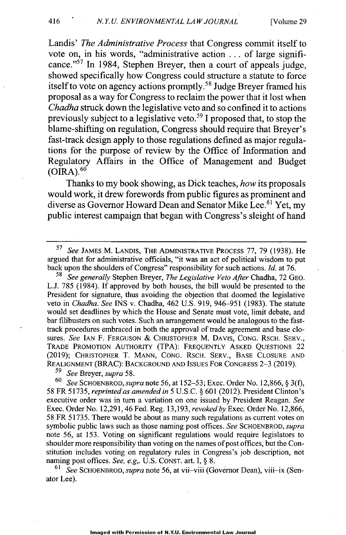Landis' *The Administrative Process* that Congress commit itself to vote on, in his words, "administrative action . .. of large significance."<sup>57</sup> In 1984, Stephen Breyer, then a court of appeals judge, showed specifically how Congress could structure a statute to force itself to vote on agency actions promptly.<sup>58</sup> Judge Breyer framed his proposal as a way for Congress to reclaim the power that it lost when *Chadha* struck down the legislative veto and so confined it to actions previously subject to a legislative veto.<sup>59</sup> I proposed that, to stop the blame-shifting on regulation, Congress should require that Breyer's fast-track design apply to those regulations defined as major regulations for the purpose of review by the Office of Information and Regulatory Affairs in the Office of Management and Budget  $(OIRA).$ <sup>60</sup>

Thanks to my book showing, as Dick teaches, *how* its proposals would work, it drew forewords from public figures as prominent and diverse as Governor Howard Dean and Senator Mike Lee.<sup>61</sup> Yet, my public interest campaign that began with Congress's sleight of hand

<sup>58</sup>*See generally* Stephen Breyer, *The Legislative Veto After* Chadha, 72 GEO. L.J. *785* (1984). If approved by both houses, the bill would be presented to the President for signature, thus avoiding the objection that doomed the legislative veto in *Chadha. See* INS v. Chadha, 462 U.S. 919, 946-951 (1983). The statute would set deadlines by which the House and Senate must vote, limit debate, and bar filibusters on such votes. Such an arrangement would be analogous to the fasttrack procedures embraced in both the approval of trade agreement and base closures. *See* IAN F. FERGUSON & CHRISTOPHER M. DAVIS, CONG. RSCH. SERV., TRADE PROMOTION AUTHORITY (TPA): FREQUENTLY ASKED QUESTIONS 22 (2019); CHRISTOPHER T. MANN, CONG. RSCH. SERV., BASE CLOSURE AND REALIGNMENT (BRAC): BACKGROUND AND ISSUES FOR CONGRESS 2-3 (2019).

<sup>59</sup>*See* Breyer, *supra* 58.

<sup>60</sup>*See* SCHOENBROD, *supra* note 56, at 152-53; Exec. Order No. 12,866, § 3(f), 58 FR 51735, *reprinted as amended in* 5 U.S.C. § 601 (2012). President Clinton's executive order was in turn a variation on one issued by President Reagan. *See* Exec. Order No. 12,291, 46 Fed. Reg. 13,193, *revoked by Exec.* Order No. 12,866, 58 FR 51735. There would be about as many such regulations as current votes on symbolic public laws such as those naming post offices. *See* SCHOENBROD, *supra* note 56, at 153. Voting on significant regulations would require legislators to shoulder more responsibility than voting on the names of post offices, but the Constitution includes voting on regulatory rules in Congress's job description, not naming post offices. *See, e.g,.* U.S. CONST. art. I, § 8.

61 *See* SCHOENBROD, *supra* note 56, at vii-viii (Governor Dean), viii-ix (Senator Lee).

<sup>57</sup>*See* JAMES M. LANDIS, THE ADMINISTRATIVE PROCEsS *77,* 79 (1938). He argued that for administrative officials, "it was an act of political wisdom to put back upon the shoulders of Congress" responsibility for such actions. *Id.* at 76.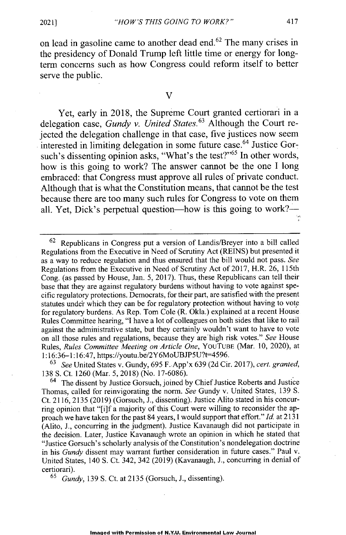**on lead in gasoline came to another dead end.62 The many crises in the presidency of Donald Trump left little time or energy for longterm concerns such as how Congress could reform itself to better serve the public.**

#### V

**Yet, early in 2018, the Supreme Court granted certiorari in a delegation case,** *Gundy v. United States.<sup>63</sup>***Although the Court rejected the delegation challenge in that case, five justices now seem interested in limiting delegation in some future** case. <sup>6</sup>4 **Justice Gor**such's dissenting opinion asks, "What's the test?"<sup>65</sup> In other words, **how is this going to work? The answer cannot be the one I long embraced: that Congress must approve all rules of private conduct. Although that is what the Constitution means, that cannot be the test because there are too many such rules for Congress to vote on them** all. Yet, Dick's perpetual question—how is this going to work?—

**<sup>63</sup>***See* **United States v. Gundy, 695 F..App'x 639 (2d Cir. 2017),** *cert. granted,* **138 S. Ct. 1260 (Mar. 5, 2018) (No. 17-6086).**

<sup>64</sup>**The dissent by Justice Gorsuch, joined by Chief Justice Roberts and Justice Thomas, called for reinvigorating the norm.** *See* **Gundy v. United States, 139 S. Ct. 2116, 2135 (2019) (Gorsuch, J., dissenting). Justice Alito stated in his concurring opinion that "[i]f a majority of this Court were willing to reconsider the approach we have taken for the past 84 years, I would support that effort."** *Id.* **at 2131 (Alito, J., concurring in the judgment). Justice Kavanaugh did not participate in the decision. Later, Justice Kavanaugh wrote an opinion in which he stated that "Justice Gorsuch's scholarly analysis of the Constitution's nondelegation doctrine in his** *Gundy* **dissent may warrant further consideration in future cases." Paul v. United States, 140 S. Ct. 342, 342 (2019) (Kavanaugh, J., concurring in denial of certiorari).**

<sup>65</sup>*Gundy,* **139 S. Ct. at 2135 (Gorsuch, J., dissenting).**

**<sup>62</sup> Republicans in Congress put a version of** Landis/Breyer **into a bill called Regulations from the Executive in Need of Scrutiny Act (REINS) but presented it** as **a way to reduce regulation and thus ensured that the bill would not pass.** *See* **Regulations from the Executive in Need of Scrutiny Act of 2017, H.R. 26, 115th Cong. (as passed by House, Jan. 5, 2017). Thus, these Republicans can tell their base that they are against regulatory burdens without having to vote against specific regulatory protections. Democrats, for their part, are satisfied with the present statutes under which they can be for regulatory protection without having to vote for regulatory burdens. As Rep. Tom Cole (R. Okla.) explained at a recent House Rules Committee hearing, "I have a lot of colleagues on both sides that like to rail against the administrative state, but they certainly wouldn't want to have to vote on all those rules and regulations, because they are high risk votes."** *See* **House Rules,** *Rules Committee Meeting on Article One,* YouTUBE **(Mar. 10, 2020), at 1:16:36-1:16:47, https://youtu.be/2Y6MoUBJP5U?t-4596.**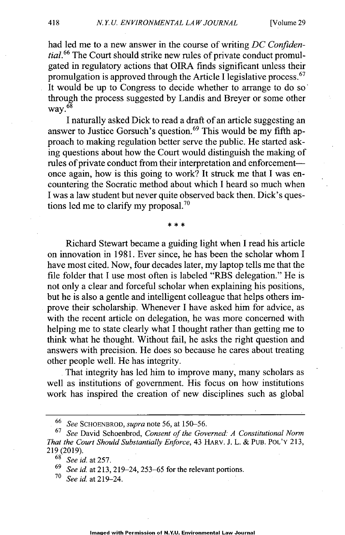had led me to a new answer in the course of writing *DC Confidential.66* The Court should strike new rules of private conduct promulgated in regulatory actions that **OIRA** finds significant unless their promulgation is approved through the Article I legislative process.  $67$ It would be up to Congress to decide whether to arrange to do so through the process suggested by Landis and Breyer or some other way. $68$ 

I naturally asked Dick to read a draft of an article suggesting an answer to Justice Gorsuch's question.<sup>69</sup> This would be my fifth approach to making regulation better serve the public. He started asking questions about how the Court would distinguish the making of rules of private conduct from their interpretation and enforcementonce again, how is this going to work? It struck me that I was encountering the Socratic method about which I heard so much when I was a law student but never quite observed back then. Dick's questions led me to clarify my proposal.<sup>70</sup>

Richard Stewart became a guiding light when I read his article on innovation in 1981. Ever since, he has been the scholar whom I have most cited. Now, four decades later, my laptop tells me that the file folder that I use most often is labeled "RBS delegation." He is not only a clear and forceful scholar when explaining his positions, but he is also a gentle and intelligent colleague that helps others improve their scholarship. Whenever I have asked him for advice, as with the recent article on delegation, he was more concerned with helping me to state clearly what I thought rather than getting me to think what he thought. Without fail, he asks the right question and answers with precision. He does so because he cares about treating other people well. He has integrity.

That integrity has led him to improve many, many scholars as well as institutions of government. His focus on how institutions work has inspired the creation of new disciplines such as global

<sup>69</sup>*See id. at* 213, 219-24, *253-65* for the relevant portions.

*<sup>70</sup>See id at 219-24.*

<sup>66</sup>*See* SCHOENBROD, *supra* note *56, at* 150-56.

<sup>67</sup>*See* David Schoenbrod, *Consent of the Governed: A Constitutional Norm That the Court Should Substantially Enforce, 43 HARV. J. L. & PUB. POL'Y 213,* 219 (2019).

 $68^{68}$  See id. at 257.